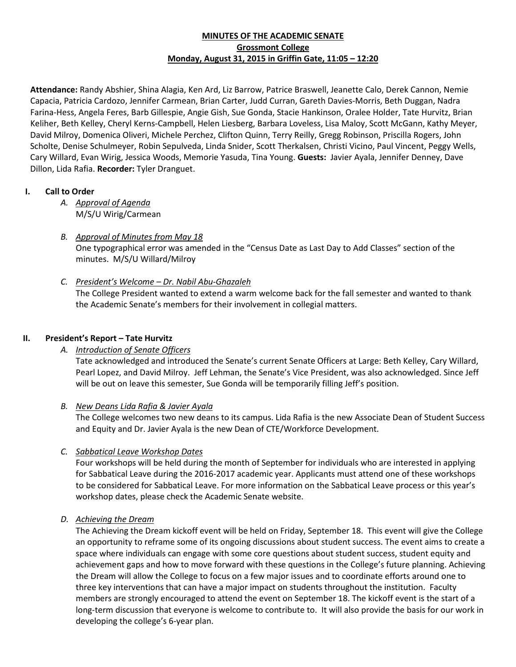### **MINUTES OF THE ACADEMIC SENATE Grossmont College Monday, August 31, 2015 in Griffin Gate, 11:05 – 12:20**

**Attendance:** Randy Abshier, Shina Alagia, Ken Ard, Liz Barrow, Patrice Braswell, Jeanette Calo, Derek Cannon, Nemie Capacia, Patricia Cardozo, Jennifer Carmean, Brian Carter, Judd Curran, Gareth Davies-Morris, Beth Duggan, Nadra Farina-Hess, Angela Feres, Barb Gillespie, Angie Gish, Sue Gonda, Stacie Hankinson, Oralee Holder, Tate Hurvitz, Brian Keliher, Beth Kelley, Cheryl Kerns-Campbell, Helen Liesberg, Barbara Loveless, Lisa Maloy, Scott McGann, Kathy Meyer, David Milroy, Domenica Oliveri, Michele Perchez, Clifton Quinn, Terry Reilly, Gregg Robinson, Priscilla Rogers, John Scholte, Denise Schulmeyer, Robin Sepulveda, Linda Snider, Scott Therkalsen, Christi Vicino, Paul Vincent, Peggy Wells, Cary Willard, Evan Wirig, Jessica Woods, Memorie Yasuda, Tina Young. **Guests:** Javier Ayala, Jennifer Denney, Dave Dillon, Lida Rafia. **Recorder:** Tyler Dranguet.

# **I. Call to Order**

- *A. Approval of Agenda* M/S/U Wirig/Carmean
- *B. Approval of Minutes from May 18* One typographical error was amended in the "Census Date as Last Day to Add Classes" section of the minutes. M/S/U Willard/Milroy

### *C. President's Welcome – Dr. Nabil Abu-Ghazaleh*

The College President wanted to extend a warm welcome back for the fall semester and wanted to thank the Academic Senate's members for their involvement in collegial matters.

### **II. President's Report – Tate Hurvitz**

# *A. Introduction of Senate Officers*

Tate acknowledged and introduced the Senate's current Senate Officers at Large: Beth Kelley, Cary Willard, Pearl Lopez, and David Milroy. Jeff Lehman, the Senate's Vice President, was also acknowledged. Since Jeff will be out on leave this semester, Sue Gonda will be temporarily filling Jeff's position.

### *B. New Deans Lida Rafia & Javier Ayala*

The College welcomes two new deans to its campus. Lida Rafia is the new Associate Dean of Student Success and Equity and Dr. Javier Ayala is the new Dean of CTE/Workforce Development.

# *C. Sabbatical Leave Workshop Dates*

Four workshops will be held during the month of September for individuals who are interested in applying for Sabbatical Leave during the 2016-2017 academic year. Applicants must attend one of these workshops to be considered for Sabbatical Leave. For more information on the Sabbatical Leave process or this year's workshop dates, please check the Academic Senate website.

### *D. Achieving the Dream*

The Achieving the Dream kickoff event will be held on Friday, September 18. This event will give the College an opportunity to reframe some of its ongoing discussions about student success. The event aims to create a space where individuals can engage with some core questions about student success, student equity and achievement gaps and how to move forward with these questions in the College's future planning. Achieving the Dream will allow the College to focus on a few major issues and to coordinate efforts around one to three key interventions that can have a major impact on students throughout the institution. Faculty members are strongly encouraged to attend the event on September 18. The kickoff event is the start of a long-term discussion that everyone is welcome to contribute to. It will also provide the basis for our work in developing the college's 6-year plan.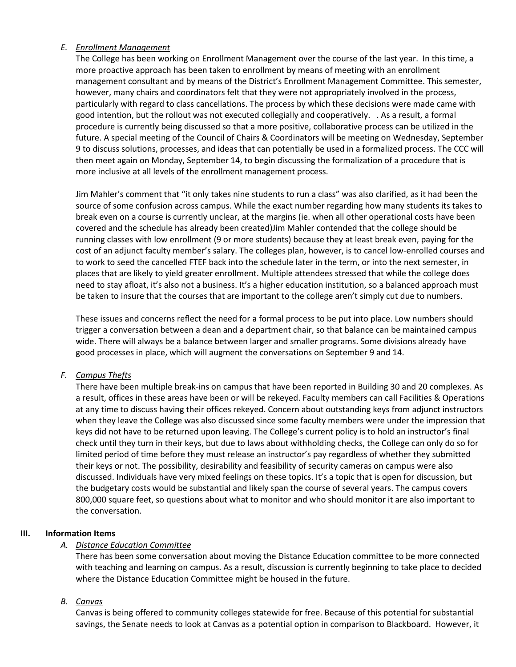### *E. Enrollment Management*

The College has been working on Enrollment Management over the course of the last year. In this time, a more proactive approach has been taken to enrollment by means of meeting with an enrollment management consultant and by means of the District's Enrollment Management Committee. This semester, however, many chairs and coordinators felt that they were not appropriately involved in the process, particularly with regard to class cancellations. The process by which these decisions were made came with good intention, but the rollout was not executed collegially and cooperatively. . As a result, a formal procedure is currently being discussed so that a more positive, collaborative process can be utilized in the future. A special meeting of the Council of Chairs & Coordinators will be meeting on Wednesday, September 9 to discuss solutions, processes, and ideas that can potentially be used in a formalized process. The CCC will then meet again on Monday, September 14, to begin discussing the formalization of a procedure that is more inclusive at all levels of the enrollment management process.

Jim Mahler's comment that "it only takes nine students to run a class" was also clarified, as it had been the source of some confusion across campus. While the exact number regarding how many students its takes to break even on a course is currently unclear, at the margins (ie. when all other operational costs have been covered and the schedule has already been created)Jim Mahler contended that the college should be running classes with low enrollment (9 or more students) because they at least break even, paying for the cost of an adjunct faculty member's salary. The colleges plan, however, is to cancel low-enrolled courses and to work to seed the cancelled FTEF back into the schedule later in the term, or into the next semester, in places that are likely to yield greater enrollment. Multiple attendees stressed that while the college does need to stay afloat, it's also not a business. It's a higher education institution, so a balanced approach must be taken to insure that the courses that are important to the college aren't simply cut due to numbers.

These issues and concerns reflect the need for a formal process to be put into place. Low numbers should trigger a conversation between a dean and a department chair, so that balance can be maintained campus wide. There will always be a balance between larger and smaller programs. Some divisions already have good processes in place, which will augment the conversations on September 9 and 14.

### *F. Campus Thefts*

There have been multiple break-ins on campus that have been reported in Building 30 and 20 complexes. As a result, offices in these areas have been or will be rekeyed. Faculty members can call Facilities & Operations at any time to discuss having their offices rekeyed. Concern about outstanding keys from adjunct instructors when they leave the College was also discussed since some faculty members were under the impression that keys did not have to be returned upon leaving. The College's current policy is to hold an instructor's final check until they turn in their keys, but due to laws about withholding checks, the College can only do so for limited period of time before they must release an instructor's pay regardless of whether they submitted their keys or not. The possibility, desirability and feasibility of security cameras on campus were also discussed. Individuals have very mixed feelings on these topics. It's a topic that is open for discussion, but the budgetary costs would be substantial and likely span the course of several years. The campus covers 800,000 square feet, so questions about what to monitor and who should monitor it are also important to the conversation.

### **III. Information Items**

# *A. Distance Education Committee*

There has been some conversation about moving the Distance Education committee to be more connected with teaching and learning on campus. As a result, discussion is currently beginning to take place to decided where the Distance Education Committee might be housed in the future.

# *B. Canvas*

Canvas is being offered to community colleges statewide for free. Because of this potential for substantial savings, the Senate needs to look at Canvas as a potential option in comparison to Blackboard. However, it